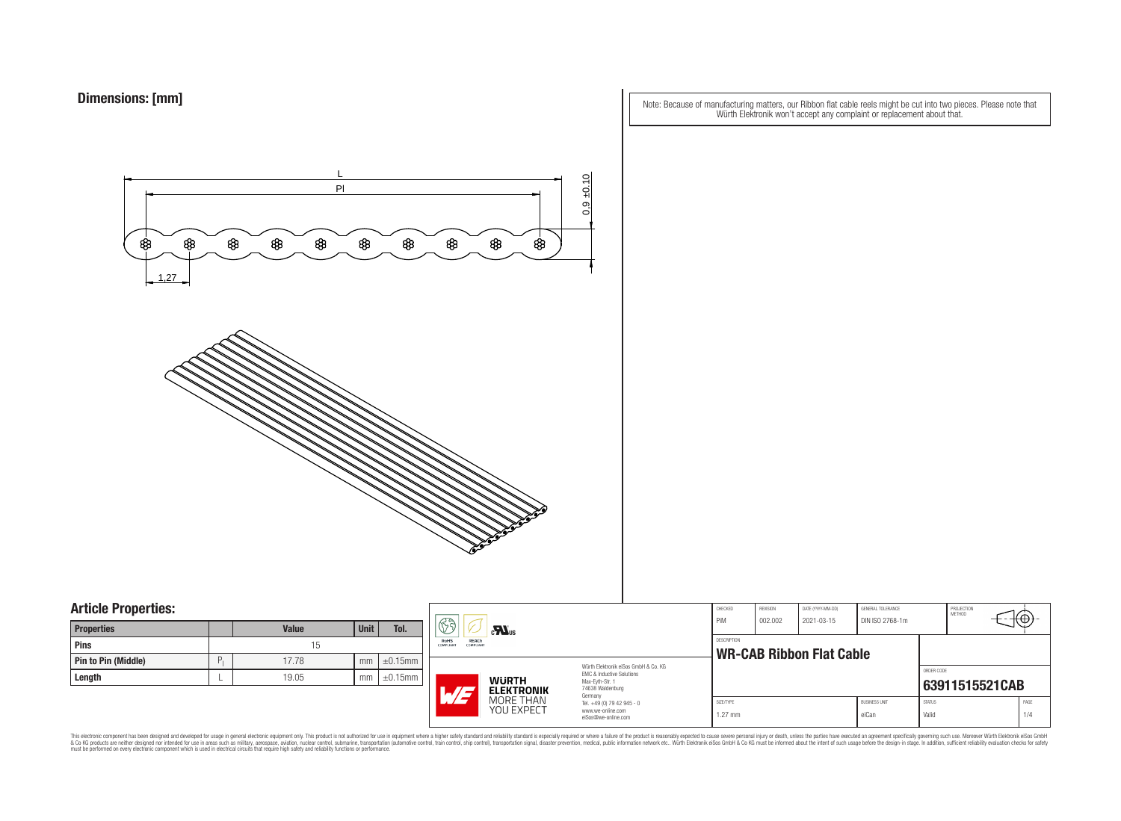Note: Because of manufacturing matters, our Ribbon flat cable reels might be cut into two pieces. Please note that Würth Elektronik won't accept any complaint or replacement about that.



### **Article Properties:**

| <b>Properties</b>          |   | <b>Value</b> | <b>Unit</b> | Tol.          |
|----------------------------|---|--------------|-------------|---------------|
| <b>Pins</b>                |   | 15           |             |               |
| <b>Pin to Pin (Middle)</b> | P | 17.78        | mm          | $\pm 0.15$ mm |
| Length                     |   | 19.05        | mm          | $\pm 0.15$ mm |

|    | 53<br>$\mathbf{M}$ us                                         |                                                                                   | CHECKED<br>PiM                                                                                           | REVISION<br>DATE (YYYY-MM-DD)<br>GENERAL TOLERANCE<br>2021-03-15<br>DIN ISO 2768-1m<br>002.002 |  | PROJECTION<br><b>METHOD</b><br>ťΦ |                        |            |                |  |
|----|---------------------------------------------------------------|-----------------------------------------------------------------------------------|----------------------------------------------------------------------------------------------------------|------------------------------------------------------------------------------------------------|--|-----------------------------------|------------------------|------------|----------------|--|
| nm | REACh<br><b>RoHS</b><br>COMPLIANT                             | <b>COMPLIANT</b>                                                                  |                                                                                                          |                                                                                                |  | <b>WR-CAB Ribbon Flat Cable</b>   |                        |            |                |  |
| nm | <b>WURTH</b><br><b>ELEKTRONIK</b><br>$\overline{\phantom{a}}$ |                                                                                   | Würth Elektronik eiSos GmbH & Co. KG<br>EMC & Inductive Solutions<br>Max-Eyth-Str. 1<br>74638 Waldenburg |                                                                                                |  |                                   |                        | ORDER CODE | 63911515521CAB |  |
|    | MORE THAN<br><b>YOU EXPECT</b>                                | Germany<br>Tel. +49 (0) 79 42 945 - 0<br>www.we-online.com<br>eiSos@we-online.com | SIZE/TYPE<br>$1.27$ mm                                                                                   |                                                                                                |  | <b>BUSINESS UNIT</b><br>eiCan     | <b>STATUS</b><br>Valid |            | PAGE<br>1/4    |  |

This electronic component has been designed and developed for usage in general electronic equipment only. This product is not authorized for subserved requipment where a higher selection equipment where a higher selection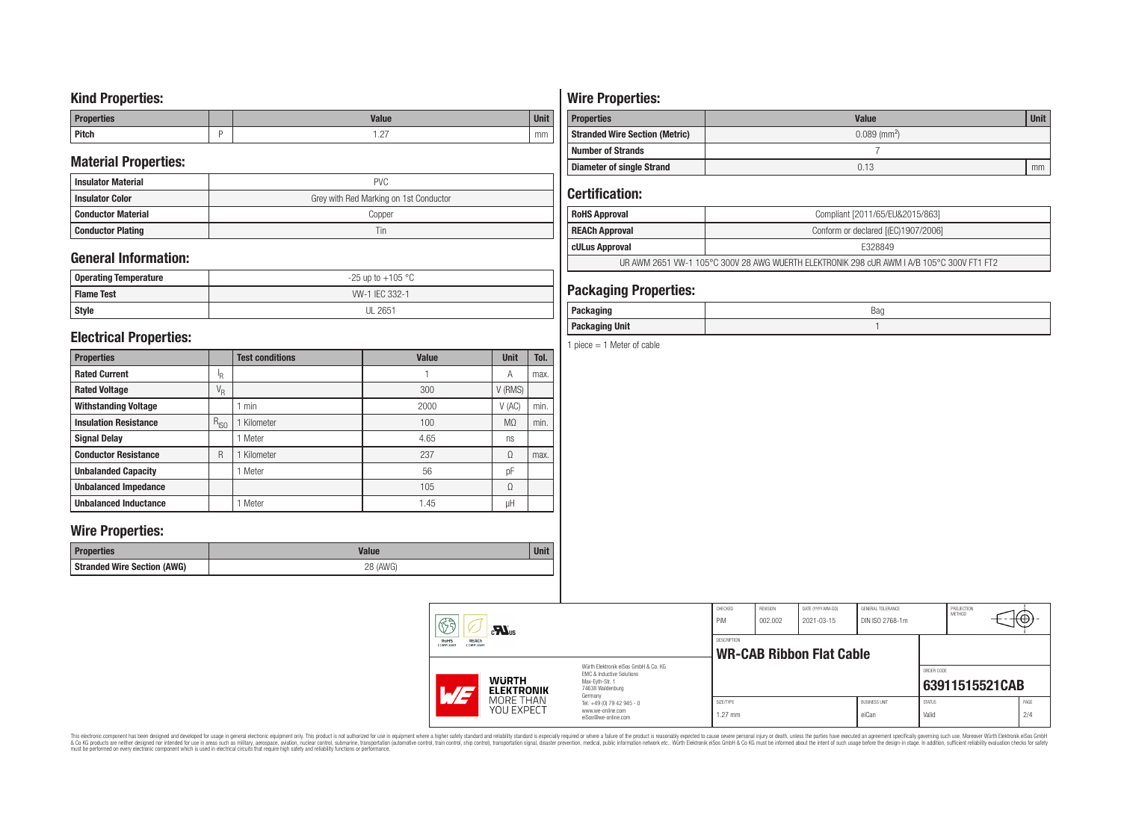## **Kind Properties:**

| <b>Properties</b> | <b>Value</b>                     | $11 - 14$<br>vm |
|-------------------|----------------------------------|-----------------|
| <b>Pitch</b>      | $\sim$<br>$\cdot$ $\sim$ $\cdot$ | mm              |

## **Material Properties:**

| <b>Insulator Material</b> | <b>PVC</b>                             |  |  |  |  |  |
|---------------------------|----------------------------------------|--|--|--|--|--|
| <b>Insulator Color</b>    | Grey with Red Marking on 1st Conductor |  |  |  |  |  |
| <b>Conductor Material</b> | Copper                                 |  |  |  |  |  |
| <b>Conductor Plating</b>  | Tin                                    |  |  |  |  |  |

## **General Information:**

| Operating Temperature | $-25$ up to $+105$ °C |
|-----------------------|-----------------------|
| <b>Flame Test</b>     | W-1 IEC 332-1         |
| <b>Style</b>          | <b>UL 2651</b>        |

## **Electrical Properties:**

| <b>Properties</b>            |                           | <b>Test conditions</b> | <b>Value</b> | <b>Unit</b>    | Tol. |
|------------------------------|---------------------------|------------------------|--------------|----------------|------|
| <b>Rated Current</b>         | ΙŖ.                       |                        |              | Α              | max. |
| <b>Rated Voltage</b>         | $\mathrm{V}_{\mathrm{R}}$ |                        | 300          | V (RMS)        |      |
| <b>Withstanding Voltage</b>  |                           | min                    | 2000         | V(AC)          | min. |
| <b>Insulation Resistance</b> | $R_{ISO}$                 | Kilometer              | 100          | M <sub>0</sub> | min. |
| <b>Signal Delay</b>          |                           | Meter                  | 4.65         | ns             |      |
| <b>Conductor Resistance</b>  | R                         | Kilometer              | 237          | Ω              | max. |
| <b>Unbalanded Capacity</b>   |                           | Meter                  | 56           | pF             |      |
| <b>Unbalanced Impedance</b>  |                           |                        | 105          | Ω              |      |
| <b>Unbalanced Inductance</b> |                           | Meter                  | 1.45         | μH             |      |

## **Wire Properties:**

| Properties                         | <b>Valut</b>   | Unit |
|------------------------------------|----------------|------|
| <b>Stranded Wire Section (AWG)</b> | 28 (AWG)<br>∠∪ |      |

# **Wire Properties:**

| <b>Properties</b>                     | <b>Value</b>               | <b>Unit</b> |
|---------------------------------------|----------------------------|-------------|
| <b>Stranded Wire Section (Metric)</b> | $0.089$ (mm <sup>2</sup> ) |             |
| <b>Number of Strands</b>              |                            |             |
| <b>Diameter of single Strand</b>      | 0.13                       | mm          |

## **Certification:**

| <b>RoHS Approval</b>                                                                      | Compliant [2011/65/EU&2015/863]     |  |  |  |
|-------------------------------------------------------------------------------------------|-------------------------------------|--|--|--|
| <b>REACh Approval</b>                                                                     | Conform or declared [(EC)1907/2006] |  |  |  |
| cULus Approval                                                                            | E328849                             |  |  |  |
| UR AWM 2651 VW-1 105°C 300V 28 AWG WUERTH ELEKTRONIK 298 cUR AWM I A/B 105°C 300V FT1 FT2 |                                     |  |  |  |

## **Packaging Properties:**

| <i>n</i> anina<br>rackayıny | Bag |
|-----------------------------|-----|
| <b>Packaging Unit</b>       |     |

1 piece  $= 1$  Meter of cable

|  | 63<br>$c$ <b>N</b> <sub>us</sub><br>REACh<br>RoHS<br>COMPLIANT<br>COMPLIANT |                                                                                                              | CHECKED<br>PiM<br>DESCRIPTION                                                                            | REVISION<br>002.002    | DATE (YYYY-MM-DD)<br>2021-03-15 | GENERAL TOLERANCE<br>DIN ISO 2768-1m |                               | PROJECTION<br>METHOD   | ₩Φ∶            |             |
|--|-----------------------------------------------------------------------------|--------------------------------------------------------------------------------------------------------------|----------------------------------------------------------------------------------------------------------|------------------------|---------------------------------|--------------------------------------|-------------------------------|------------------------|----------------|-------------|
|  |                                                                             |                                                                                                              | <b>WR-CAB Ribbon Flat Cable</b>                                                                          |                        |                                 |                                      |                               |                        |                |             |
|  | $\overline{M}$                                                              | <b>WURTH</b><br><b>ELEKTRONIK</b>                                                                            | Würth Elektronik eiSos GmbH & Co. KG<br>EMC & Inductive Solutions<br>Max-Evth-Str. 1<br>74638 Waldenburg |                        |                                 |                                      |                               | ORDER CODE             | 63911515521CAB |             |
|  |                                                                             | Germany<br>MORE THAN<br>Tel. +49 (0) 79 42 945 - 0<br>YOU EXPECT<br>www.we-online.com<br>eiSos@we-online.com |                                                                                                          | SIZE/TYPE<br>$1.27$ mm |                                 |                                      | <b>BUSINESS UNIT</b><br>eiCan | <b>STATUS</b><br>Valid |                | PAGE<br>2/4 |

This electronic component has been designed and developed for usage in general electronic equipment only. This product is not authorized for subserved requipment where a higher selection equipment where a higher selection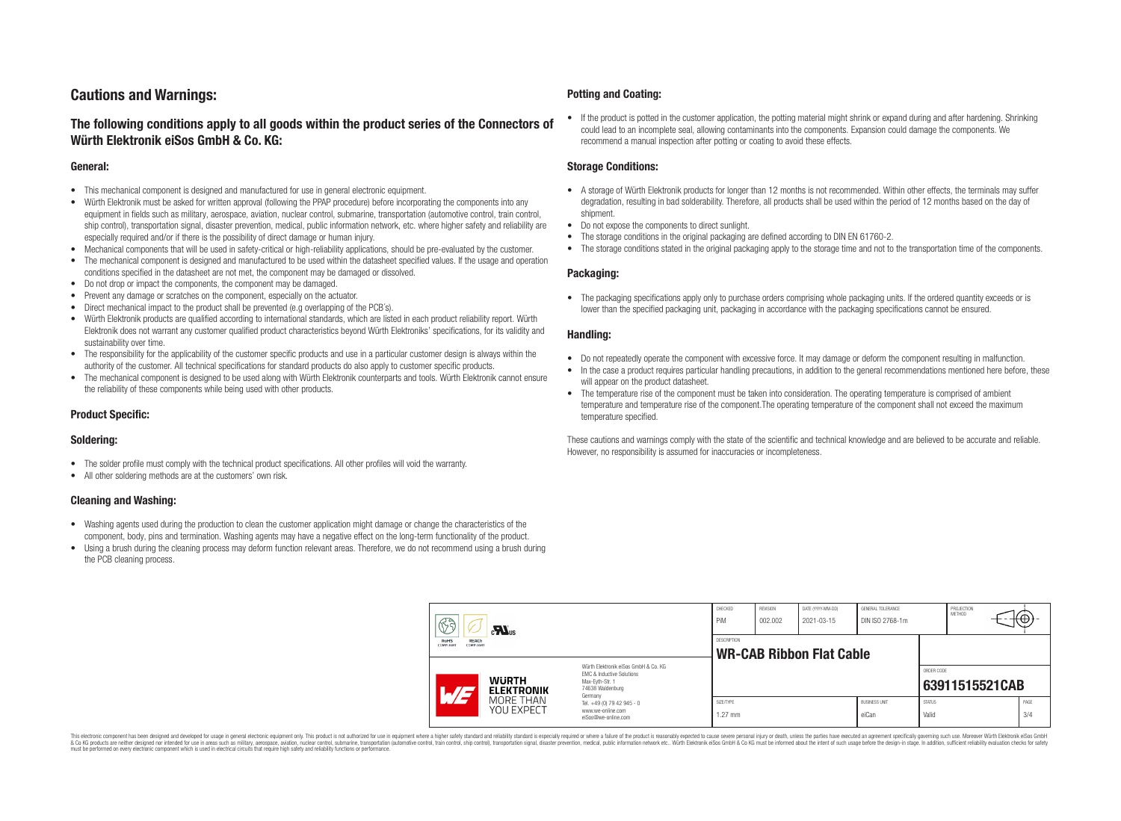## **Cautions and Warnings:**

### **The following conditions apply to all goods within the product series of the Connectors of Würth Elektronik eiSos GmbH & Co. KG:**

#### **General:**

- This mechanical component is designed and manufactured for use in general electronic equipment.
- Würth Elektronik must be asked for written approval (following the PPAP procedure) before incorporating the components into any equipment in fields such as military, aerospace, aviation, nuclear control, submarine, transportation (automotive control, train control, ship control), transportation signal, disaster prevention, medical, public information network, etc. where higher safety and reliability are especially required and/or if there is the possibility of direct damage or human injury.
- Mechanical components that will be used in safety-critical or high-reliability applications, should be pre-evaluated by the customer.
- The mechanical component is designed and manufactured to be used within the datasheet specified values. If the usage and operation conditions specified in the datasheet are not met, the component may be damaged or dissolved.
- Do not drop or impact the components, the component may be damaged.
- Prevent any damage or scratches on the component, especially on the actuator.
- Direct mechanical impact to the product shall be prevented (e.g overlapping of the PCB's).
- Würth Elektronik products are qualified according to international standards, which are listed in each product reliability report. Würth Elektronik does not warrant any customer qualified product characteristics beyond Würth Elektroniks' specifications, for its validity and sustainability over time.
- The responsibility for the applicability of the customer specific products and use in a particular customer design is always within the authority of the customer. All technical specifications for standard products do also apply to customer specific products.
- The mechanical component is designed to be used along with Würth Elektronik counterparts and tools. Würth Elektronik cannot ensure the reliability of these components while being used with other products.

#### **Product Specific:**

#### **Soldering:**

- The solder profile must comply with the technical product specifications. All other profiles will void the warranty.
- All other soldering methods are at the customers' own risk.

#### **Cleaning and Washing:**

- Washing agents used during the production to clean the customer application might damage or change the characteristics of the component, body, pins and termination. Washing agents may have a negative effect on the long-term functionality of the product.
- Using a brush during the cleaning process may deform function relevant areas. Therefore, we do not recommend using a brush during the PCB cleaning process.

#### **Potting and Coating:**

• If the product is potted in the customer application, the potting material might shrink or expand during and after hardening. Shrinking could lead to an incomplete seal, allowing contaminants into the components. Expansion could damage the components. We recommend a manual inspection after potting or coating to avoid these effects.

#### **Storage Conditions:**

- A storage of Würth Elektronik products for longer than 12 months is not recommended. Within other effects, the terminals may suffer degradation, resulting in bad solderability. Therefore, all products shall be used within the period of 12 months based on the day of shipment.
- Do not expose the components to direct sunlight.
- The storage conditions in the original packaging are defined according to DIN EN 61760-2.
- The storage conditions stated in the original packaging apply to the storage time and not to the transportation time of the components.

#### **Packaging:**

• The packaging specifications apply only to purchase orders comprising whole packaging units. If the ordered quantity exceeds or is lower than the specified packaging unit, packaging in accordance with the packaging specifications cannot be ensured.

#### **Handling:**

- Do not repeatedly operate the component with excessive force. It may damage or deform the component resulting in malfunction.
- In the case a product requires particular handling precautions, in addition to the general recommendations mentioned here before, these will appear on the product datasheet
- The temperature rise of the component must be taken into consideration. The operating temperature is comprised of ambient temperature and temperature rise of the component.The operating temperature of the component shall not exceed the maximum temperature specified.

These cautions and warnings comply with the state of the scientific and technical knowledge and are believed to be accurate and reliable. However, no responsibility is assumed for inaccuracies or incompleteness.

|                                                              | 63<br>$\mathbf{M}_{\text{us}}$                                                                                                                      |                                                       | CHECKED<br>PiM                                                         | <b>REVISION</b><br>002.002 | DATE (YYYY-MM-DD)<br>2021-03-15 | GENERAL TOLERANCE<br>DIN ISO 2768-1m |                               | PROJECTION<br><b>METHOD</b> | €⊕∶            |             |
|--------------------------------------------------------------|-----------------------------------------------------------------------------------------------------------------------------------------------------|-------------------------------------------------------|------------------------------------------------------------------------|----------------------------|---------------------------------|--------------------------------------|-------------------------------|-----------------------------|----------------|-------------|
| <b>RoHS</b><br><b>REACh</b><br><b>COMPLIANT</b><br>COMPLIANT |                                                                                                                                                     | <b>DESCRIPTION</b><br><b>WR-CAB Ribbon Flat Cable</b> |                                                                        |                            |                                 |                                      |                               |                             |                |             |
|                                                              | Würth Flektronik eiSos GmbH & Co. KG<br>EMC & Inductive Solutions<br><b>WURTH</b><br>Max-Evth-Str. 1<br>74638 Waldenburg<br>AT<br><b>ELEKTRONIK</b> |                                                       | Germany                                                                |                            |                                 |                                      |                               | ORDER CODE                  | 63911515521CAB |             |
|                                                              |                                                                                                                                                     | MORE THAN<br><b>YOU EXPECT</b>                        | Tel. +49 (0) 79 42 945 - 0<br>www.we-online.com<br>eiSos@we-online.com | SIZE/TYPE<br>$1.27$ mm     |                                 |                                      | <b>BUSINESS UNIT</b><br>eiCan | <b>STATUS</b><br>Valid      |                | PAGE<br>3/4 |

This electronic component has been designed and developed for usage in general electronic equipment only. This product is not authorized for use in equipment where a higher safety standard and reliability standard si espec & Ook product a label and the membed of the seasuch as marked and as which such a membed and the such assume that income in the seasuch and the simulation and the such assume that include to the such a membed and the such